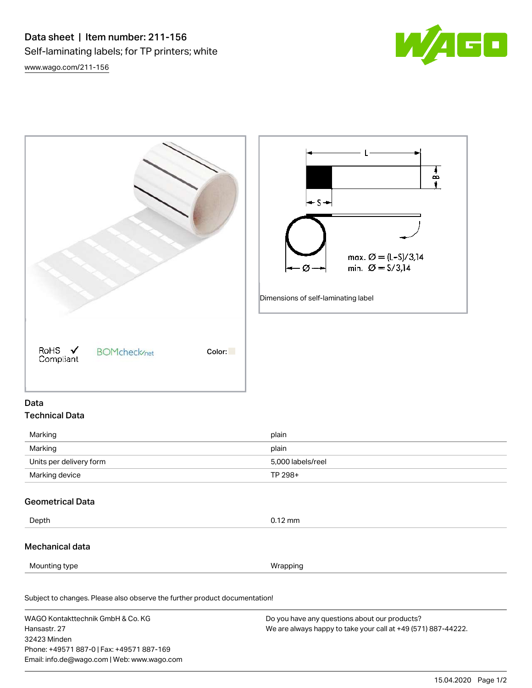[www.wago.com/211-156](http://www.wago.com/211-156)





# Data Technical Data

| Marking                 | plain             |
|-------------------------|-------------------|
| Marking                 | plain             |
| Units per delivery form | 5,000 labels/reel |
| Marking device          | TP 298+           |

# Geometrical Data

Depth 0.12 mm

### Mechanical data

Mounting type **Wrapping** 

Subject to changes. Please also observe the further product documentation! Material Data

WAGO Kontakttechnik GmbH & Co. KG Hansastr. 27 32423 Minden Phone: +49571 887-0 | Fax: +49571 887-169 Email: info.de@wago.com | Web: www.wago.com Do you have any questions about our products? We are always happy to take your call at +49 (571) 887-44222.